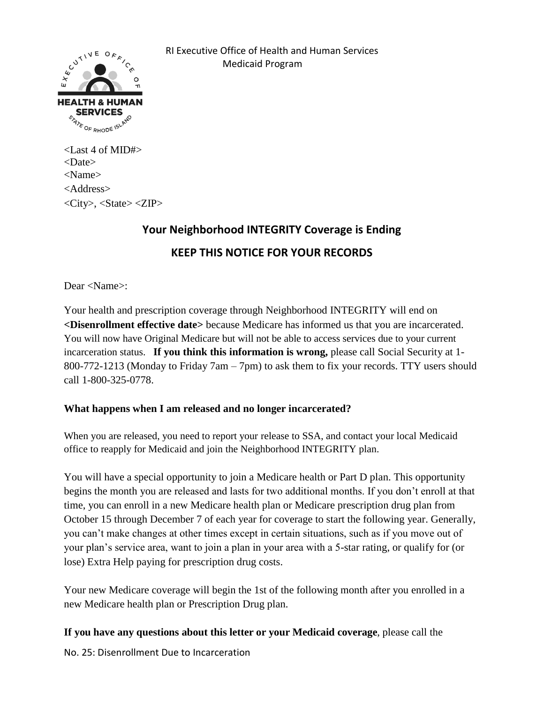

 RI Executive Office of Health and Human Services Medicaid Program

<Last 4 of MID#> <Date> <Name> <Address>  $\langle City \rangle$ ,  $\langle State \rangle \langle ZIP \rangle$ 

## **Your Neighborhood INTEGRITY Coverage is Ending KEEP THIS NOTICE FOR YOUR RECORDS**

Dear <Name>:

Your health and prescription coverage through Neighborhood INTEGRITY will end on **<Disenrollment effective date>** because Medicare has informed us that you are incarcerated. You will now have Original Medicare but will not be able to access services due to your current incarceration status. If you think this information is wrong, please call Social Security at 1-800-772-1213 (Monday to Friday 7am – 7pm) to ask them to fix your records. TTY users should call 1-800-325-0778.

## **What happens when I am released and no longer incarcerated?**

When you are released, you need to report your release to SSA, and contact your local Medicaid office to reapply for Medicaid and join the Neighborhood INTEGRITY plan.

You will have a special opportunity to join a Medicare health or Part D plan. This opportunity begins the month you are released and lasts for two additional months. If you don't enroll at that time, you can enroll in a new Medicare health plan or Medicare prescription drug plan from October 15 through December 7 of each year for coverage to start the following year. Generally, you can't make changes at other times except in certain situations, such as if you move out of your plan's service area, want to join a plan in your area with a 5-star rating, or qualify for (or lose) Extra Help paying for prescription drug costs.

Your new Medicare coverage will begin the 1st of the following month after you enrolled in a new Medicare health plan or Prescription Drug plan.

**If you have any questions about this letter or your Medicaid coverage**, please call the

No. 25: Disenrollment Due to Incarceration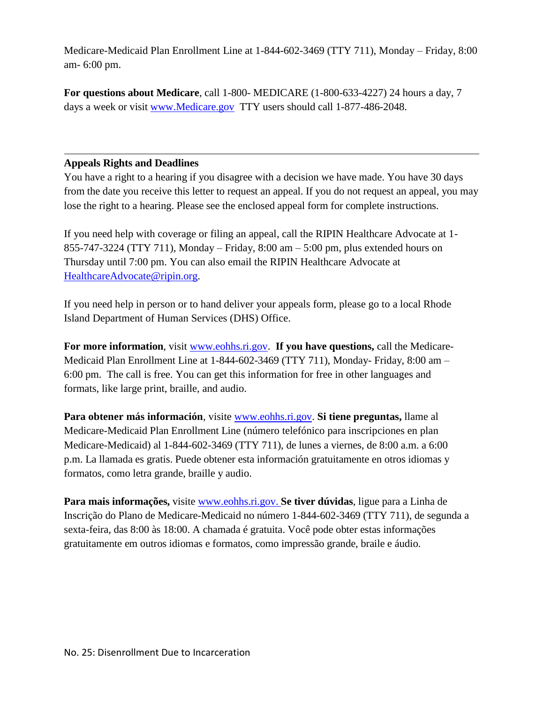Medicare-Medicaid Plan Enrollment Line at 1-844-602-3469 (TTY 711), Monday – Friday, 8:00 am- 6:00 pm.

**For questions about Medicare**, call 1-800- MEDICARE (1-800-633-4227) 24 hours a day, 7 days a week or visit [www.Medicare.gov](http://www.medicare.gov/) TTY users should call 1-877-486-2048.

## **Appeals Rights and Deadlines**

You have a right to a hearing if you disagree with a decision we have made. You have 30 days from the date you receive this letter to request an appeal. If you do not request an appeal, you may lose the right to a hearing. Please see the enclosed appeal form for complete instructions.

If you need help with coverage or filing an appeal, call the RIPIN Healthcare Advocate at 1- 855-747-3224 (TTY 711), Monday – Friday, 8:00 am – 5:00 pm, plus extended hours on Thursday until 7:00 pm. You can also email the RIPIN Healthcare Advocate at [HealthcareAdvocate@ripin.org.](mailto:HealthcareAdvocate@ripin.org)

If you need help in person or to hand deliver your appeals form, please go to a local Rhode Island Department of Human Services (DHS) Office.

**For more information**, visit [www.eohhs.ri.gov.](http://www.eohhs.ri.gov/) **If you have questions,** call the Medicare-Medicaid Plan Enrollment Line at 1-844-602-3469 (TTY 711), Monday- Friday, 8:00 am – 6:00 pm. The call is free. You can get this information for free in other languages and formats, like large print, braille, and audio.

**Para obtener más información**, visite [www.eohhs.ri.gov.](http://www.eohhs.ri.gov/) **Si tiene preguntas,** llame al Medicare-Medicaid Plan Enrollment Line (número telefónico para inscripciones en plan Medicare-Medicaid) al 1-844-602-3469 (TTY 711), de lunes a viernes, de 8:00 a.m. a 6:00 p.m. La llamada es gratis. Puede obtener esta información gratuitamente en otros idiomas y formatos, como letra grande, braille y audio.

**Para mais informações,** visite [www.eohhs.ri.gov.](http://www.eohhs.ri.gov/) **Se tiver dúvidas**, ligue para a Linha de Inscrição do Plano de Medicare-Medicaid no número 1-844-602-3469 (TTY 711), de segunda a sexta-feira, das 8:00 às 18:00. A chamada é gratuita. Você pode obter estas informações gratuitamente em outros idiomas e formatos, como impressão grande, braile e áudio.